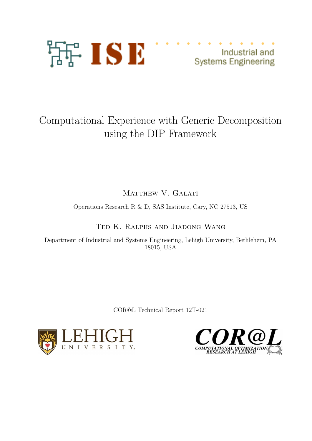

Industrial and **Systems Engineering** 

# Computational Experience with Generic Decomposition using the DIP Framework

MATTHEW V. GALATI

Operations Research R & D, SAS Institute, Cary, NC 27513, US

Ted K. Ralphs and Jiadong Wang

Department of Industrial and Systems Engineering, Lehigh University, Bethlehem, PA 18015, USA

COR@L Technical Report 12T-021



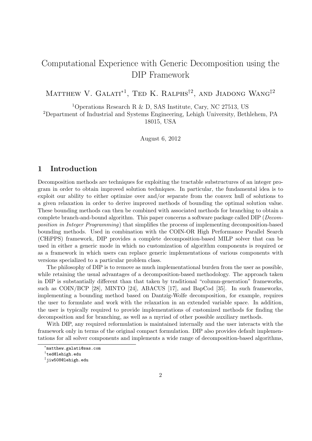# Computational Experience with Generic Decomposition using the DIP Framework

MATTHEW V. GALATI<sup>\*1</sup>, TED K. RALPHS<sup>†2</sup>, AND JIADONG WANG<sup>‡2</sup>

<sup>1</sup>Operations Research R & D, SAS Institute, Cary, NC 27513, US

<sup>2</sup>Department of Industrial and Systems Engineering, Lehigh University, Bethlehem, PA 18015, USA

August 6, 2012

# 1 Introduction

Decomposition methods are techniques for exploiting the tractable substructures of an integer program in order to obtain improved solution techniques. In particular, the fundamental idea is to exploit our ability to either optimize over and/or separate from the convex hull of solutions to a given relaxation in order to derive improved methods of bounding the optimal solution value. These bounding methods can then be combined with associated methods for branching to obtain a complete branch-and-bound algorithm. This paper concerns a software package called DIP (Decomposition in Integer Programming) that simplifies the process of implementing decomposition-based bounding methods. Used in combination with the COIN-OR High Performance Parallel Search (CHiPPS) framework, DIP provides a complete decomposition-based MILP solver that can be used in either a generic mode in which no customization of algorithm components is required or as a framework in which users can replace generic implementations of various components with versions specialized to a particular problem class.

The philosophy of DIP is to remove as much implementational burden from the user as possible, while retaining the usual advantages of a decomposition-based methodology. The approach taken in DIP is substantially different than that taken by traditional "column-generation" frameworks, such as COIN/BCP [28], MINTO [24], ABACUS [17], and BapCod [35]. In such frameworks, implementing a bounding method based on Dantzig-Wolfe decomposition, for example, requires the user to formulate and work with the relaxation in an extended variable space. In addition, the user is typically required to provide implementations of customized methods for finding the decomposition and for branching, as well as a myriad of other possible auxiliary methods.

With DIP, any required reformulation is maintained internally and the user interacts with the framework only in terms of the original compact formulation. DIP also provides default implementations for all solver components and implements a wide range of decomposition-based algorithms,

<sup>∗</sup> matthew.galati@sas.com

 $^\dagger$ ted@lehigh.edu

<sup>‡</sup> jiw508@lehigh.edu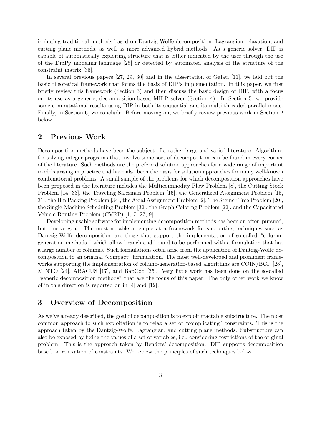including traditional methods based on Dantzig-Wolfe decomposition, Lagrangian relaxation, and cutting plane methods, as well as more advanced hybrid methods. As a generic solver, DIP is capable of automatically exploiting structure that is either indicated by the user through the use of the DipPy modeling language [25] or detected by automated analysis of the structure of the constraint matrix [36].

In several previous papers [27, 29, 30] and in the dissertation of Galati [11], we laid out the basic theoretical framework that forms the basis of DIP's implementation. In this paper, we first briefly review this framework (Section 3) and then discuss the basic design of DIP, with a focus on its use as a generic, decomposition-based MILP solver (Section 4). In Section 5, we provide some computational results using DIP in both its sequential and its multi-threaded parallel mode. Finally, in Section 6, we conclude. Before moving on, we briefly review previous work in Section 2 below.

# 2 Previous Work

Decomposition methods have been the subject of a rather large and varied literature. Algorithms for solving integer programs that involve some sort of decomposition can be found in every corner of the literature. Such methods are the preferred solution approaches for a wide range of important models arising in practice and have also been the basis for solution approaches for many well-known combinatorial problems. A small sample of the problems for which decomposition approaches have been proposed in the literature includes the Multicommodity Flow Problem [8], the Cutting Stock Problem [14, 33], the Traveling Salesman Problem [16], the Generalized Assignment Problem [15, 31], the Bin Packing Problem [34], the Axial Assignment Problem [2], The Steiner Tree Problem [20], the Single-Machine Scheduling Problem [32], the Graph Coloring Problem [22], and the Capacitated Vehicle Routing Problem (CVRP) [1, 7, 27, 9].

Developing usable software for implementing decomposition methods has been an often-pursued, but elusive goal. The most notable attempts at a framework for supporting techniques such as Dantzig-Wolfe decomposition are those that support the implementation of so-called "columngeneration methods," which allow branch-and-bound to be performed with a formulation that has a large number of columns. Such formulations often arise from the application of Dantzig-Wolfe decomposition to an original "compact" formulation. The most well-developed and prominent frameworks supporting the implementation of column-generation-based algorithms are COIN/BCP [28], MINTO [24], ABACUS [17], and BapCod [35]. Very little work has been done on the so-called "generic decomposition methods" that are the focus of this paper. The only other work we know of in this direction is reported on in [4] and [12].

# 3 Overview of Decomposition

As we've already described, the goal of decomposition is to exploit tractable substructure. The most common approach to such exploitation is to relax a set of "complicating" constraints. This is the approach taken by the Dantzig-Wolfe, Lagrangian, and cutting plane methods. Substructure can also be exposed by fixing the values of a set of variables, i.e., considering restrictions of the original problem. This is the approach taken by Benders' decomposition. DIP supports decomposition based on relaxation of constraints. We review the principles of such techniques below.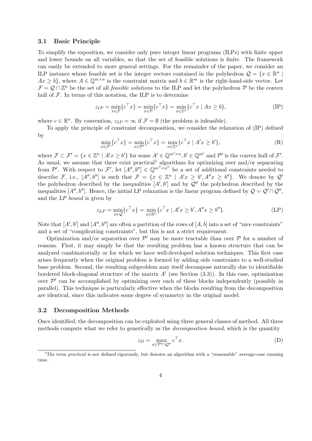#### 3.1 Basic Principle

To simplify the exposition, we consider only pure integer linear programs (ILPs) with finite upper and lower bounds on all variables, so that the set of feasible solutions is finite. The framework can easily be extended to more general settings. For the remainder of the paper, we consider an ILP instance whose feasible set is the integer vectors contained in the polyhedron  $\mathcal{Q} = \{x \in \mathbb{R}^n \mid \mathcal{Q} \in \mathbb{R}^n \mid \mathcal{Q} \in \mathbb{R}^n \mid \mathcal{Q} \in \mathbb{R}^n \mid \mathcal{Q} \in \mathbb{R}^n \mid \mathcal{Q} \in \mathbb{R}^n \}$  $Ax \geq b$ , where  $A \in \mathbb{Q}^{m \times n}$  is the constraint matrix and  $b \in \mathbb{R}^m$  is the right-hand-side vector. Let  $\mathcal{F} = \mathcal{Q} \cap \mathbb{Z}^n$  be the set of all *feasible solutions* to the ILP and let the polyhedron  $\mathcal{P}$  be the convex hull of  $\mathcal F$ . In terms of this notation, the ILP is to determine

$$
z_{IP} = \min_{x \in \mathcal{F}} \{c^{\top} x\} = \min_{x \in \mathcal{P}} \{c^{\top} x\} = \min_{x \in \mathbb{Z}^n} \{c^{\top} x \mid Ax \ge b\},\tag{IP}
$$

where  $c \in \mathbb{R}^n$ . By convention,  $z_{IP} = \infty$  if  $\mathcal{F} = \emptyset$  (the problem is infeasible).

To apply the principle of constraint decomposition, we consider the relaxation of (IP) defined by

$$
\min_{x \in \mathcal{F}'} \{c^\top x\} = \min_{x \in \mathcal{P}'} \{c^\top x\} = \min_{x \in \mathbb{Z}^n} \{c^\top x \mid A'x \ge b'\},\tag{R}
$$

where  $\mathcal{F} \subset \mathcal{F}' = \{x \in \mathbb{Z}^n \mid A'x \ge b'\}$  for some  $A' \in \mathbb{Q}^{m' \times n}, b' \in \mathbb{Q}^{m'}$  and  $\mathcal{P}'$  is the convex hull of  $\mathcal{F}'$ . As usual, we assume that there exist practical<sup>1</sup> algorithms for optimizing over and/or separating from P'. With respect to F', let  $[A'', b''] \in \mathbb{Q}^{m'' \times n''}$  be a set of additional constraints needed to describe F, i.e.,  $[A'', b'']$  is such that  $\mathcal{F} = \{x \in \mathbb{Z}^n \mid A'x \ge b', A''x \ge b''\}$ . We denote by  $\mathcal{Q}'$ the polyhedron described by the inequalities  $[A', b']$  and by  $\mathcal{Q}''$  the polyhedron described by the inequalities  $[A'', b'']$ . Hence, the initial LP relaxation is the linear program defined by  $\mathcal{Q} = \mathcal{Q}' \cap \mathcal{Q}''$ , and the LP bound is given by

$$
z_{LP} = \min_{x \in \mathcal{Q}} \{ c^{\top} x \} = \min_{x \in \mathbb{R}^n} \{ c^{\top} x \mid A' x \ge b', A'' x \ge b'' \}. \tag{LP}
$$

Note that  $[A', b']$  and  $[A'', b'']$  are often a partition of the rows of  $[A, b]$  into a set of "nice constraints" and a set of "complicating constraints", but this is not a strict requirement.

Optimization and/or separation over  $\mathcal{P}'$  may be more tractable than over  $\mathcal P$  for a number of reasons. First, it may simply be that the resulting problem has a known structure that can be analyzed combinatorially or for which we have well-developed solution techniques. This first case arises frequently when the original problem is formed by adding side constraints to a well-studied base problem. Second, the resulting subproblem may itself decompose naturally due to identifiable bordered block-diagonal structure of the matrix A' (see Section  $(3.3)$ ). In this case, optimization over  $\mathcal{P}'$  can be accomplished by optimizing over each of these blocks independently (possibly in parallel). This technique is particularly effective when the blocks resulting from the decomposition are identical, since this indicates some degree of symmetry in the original model.

#### 3.2 Decomposition Methods

Once identified, the decomposition can be exploited using three general classes of method. All three methods compute what we refer to generically as the *decomposition bound*, which is the quantity

$$
z_D = \max_{x \in \mathcal{P}' \cap \mathcal{Q}''} c^{\top} x.
$$
 (D)

<sup>&</sup>lt;sup>1</sup>The term *practical* is not defined rigorously, but denotes an algorithm with a "reasonable" average-case running time.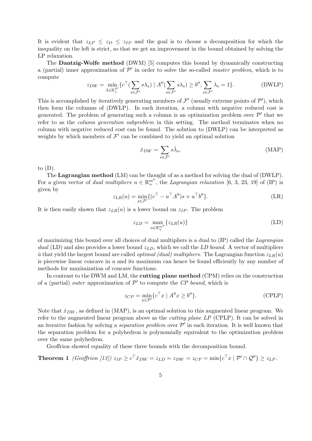It is evident that  $z_{LP} \le z_D \le z_{IP}$  and the goal is to choose a decomposition for which the inequality on the left is strict, so that we get an improvement in the bound obtained by solving the LP relaxation.

The Dantzig-Wolfe method (DWM) [5] computes this bound by dynamically constructing a (partial) inner approximation of  $\mathcal{P}'$  in order to solve the so-called *master problem*, which is to compute

$$
z_{DW} = \min_{\lambda \in \mathbb{R}_+^{\mathcal{F}'}} \{ c^\top (\sum_{s \in \mathcal{F}'} s \lambda_s) \mid A'' (\sum_{s \in \mathcal{F}'} s \lambda_s) \ge b'', \sum_{s \in \mathcal{F}'} \lambda_s = 1 \}.
$$
 (DWLP)

This is accomplished by iteratively generating members of  $\mathcal{F}'$  (usually extreme points of  $\mathcal{P}'$ ), which then form the columns of (DWLP). In each iteration, a column with negative reduced cost is generated. The problem of generating such a column is an optimization problem over  $\mathcal{P}'$  that we refer to as the *column generation subproblem* in this setting. The method terminates when no column with negative reduced cost can be found. The solution to (DWLP) can be interpreted as weights by which members of  $\mathcal{F}'$  can be combined to yield an optimal solution

$$
\hat{x}_{DW} = \sum_{s \in \mathcal{F}'} s\hat{\lambda}_s,\tag{MAP}
$$

to  $(D)$ .

The **Lagrangian method** (LM) can be thought of as a method for solving the dual of (DWLP). For a given vector of *dual multipliers*  $u \in \mathbb{R}^{m''}$ , the *Lagrangian relaxation* [6, 3, 23, 19] of (IP) is given by

$$
z_{LR}(u) = \min_{s \in \mathcal{F}'} \{ (c^{\top} - u^{\top} A'')s + u^{\top} b'' \}.
$$
 (LR)

It is then easily shown that  $z_{LR}(u)$  is a lower bound on  $z_{IP}$ . The problem

$$
z_{LD} = \max_{u \in \mathbb{R}_+^{m''}} \{z_{LR}(u)\}
$$
 (LD)

of maximizing this bound over all choices of dual multipliers is a dual to  $(IP)$  called the *Lagrangian* dual (LD) and also provides a lower bound  $z_{LD}$ , which we call the LD bound. A vector of multipliers  $\hat{u}$  that yield the largest bound are called *optimal (dual) multipliers*. The Lagrangian function  $z_{LR}(u)$ is piecewise linear concave in  $u$  and its maximum can hence be found efficiently by any number of methods for maximization of concave functions.

In contrast to the DWM and LM, the **cutting plane method** (CPM) relies on the construction of a (partial) *outer* approximation of  $P'$  to compute the CP bound, which is

$$
z_{CP} = \min_{x \in \mathcal{P}'} \{ c^{\top} x \mid A''x \ge b'' \}. \tag{CPLP}
$$

Note that  $\hat{x}_{DW}$ , as defined in (MAP), is an optimal solution to this augmented linear program. We refer to the augmented linear program above as the cutting plane LP (CPLP). It can be solved in an iterative fashion by solving a *separation problem* over  $\mathcal{P}'$  in each iteration. It is well known that the separation problem for a polyhedron is polynomially equivalent to the optimization problem over the same polyhedron.

Geoffrion showed equality of these three bounds with the decomposition bound.

**Theorem 1** (Geoffrion [13]) 
$$
z_{IP} \ge c^{\top} \hat{x}_{DW} = z_{LD} = z_{DW} = z_{CP} = \min\{c^{\top} x \mid \mathcal{P}' \cap \mathcal{Q}''\} \ge z_{LP}.
$$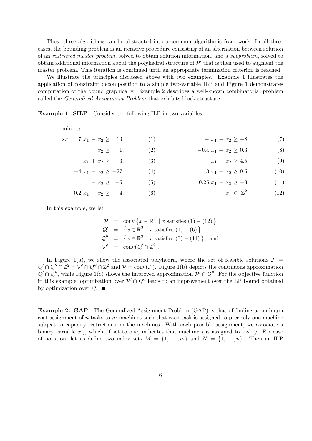These three algorithms can be abstracted into a common algorithmic framework. In all three cases, the bounding problem is an iterative procedure consisting of an alternation between solution of an restricted master problem, solved to obtain solution information, and a subproblem, solved to obtain additional information about the polyhedral structure of  $\mathcal{P}'$  that is then used to augment the master problem. This iteration is continued until an appropriate termination criterion is reached.

We illustrate the principles discussed above with two examples. Example 1 illustrates the application of constraint decomposition to a simple two-variable ILP and Figure 1 demonstrates computation of the bound graphically. Example 2 describes a well-known combinatorial problem called the Generalized Assignment Problem that exhibits block structure.

Example 1: SILP Consider the following ILP in two variables:

| $\min x_1$                  |     |                           |      |
|-----------------------------|-----|---------------------------|------|
| s.t. $7x_1 - x_2 \geq 13$ , | (1) | $- x_1 - x_2 \ge -8,$     | (7)  |
| $x_2 \geq 1$                | (2) | $-0.4 x_1 + x_2 \geq 0.3$ | (8)  |
| $-x_1 + x_2 \ge -3$         | (3) | $x_1 + x_2 \geq 4.5$ ,    | (9)  |
| $-4 x_1 - x_2 \ge -27$      | (4) | $3x_1 + x_2 \geq 9.5$     | (10) |
| $-x_2 \geq -5$ ,            | (5) | $0.25 x_1 - x_2 \ge -3,$  | (11) |

$$
0.2 \ x_1 - x_2 \ge -4, \qquad (6) \qquad x \in \mathbb{Z}^2. \tag{12}
$$

In this example, we let

$$
\mathcal{P} = \text{conv} \{ x \in \mathbb{R}^2 \mid x \text{ satisfies } (1) - (12) \},
$$
  
\n
$$
\mathcal{Q}' = \{ x \in \mathbb{R}^2 \mid x \text{ satisfies } (1) - (6) \},
$$
  
\n
$$
\mathcal{Q}'' = \{ x \in \mathbb{R}^2 \mid x \text{ satisfies } (7) - (11) \}, \text{ and}
$$
  
\n
$$
\mathcal{P}' = \text{conv}(\mathcal{Q}' \cap \mathbb{Z}^2).
$$

In Figure 1(a), we show the associated polyhedra, where the set of feasible solutions  $\mathcal{F} =$  $\mathcal{Q}' \cap \mathcal{Q}'' \cap \mathbb{Z}^2 = \mathcal{P}' \cap \mathcal{Q}'' \cap \mathbb{Z}^2$  and  $\mathcal{P} = \text{conv}(\mathcal{F})$ . Figure 1(b) depicts the continuous approximation  $\mathcal{Q}' \cap \mathcal{Q}''$ , while Figure 1(c) shows the improved approximation  $\mathcal{P}' \cap \mathcal{Q}''$ . For the objective function in this example, optimization over  $\mathcal{P}' \cap \mathcal{Q}''$  leads to an improvement over the LP bound obtained by optimization over  $\mathcal{Q}$ .

Example 2: GAP The Generalized Assignment Problem (GAP) is that of finding a minimum cost assignment of n tasks to m machines such that each task is assigned to precisely one machine subject to capacity restrictions on the machines. With each possible assignment, we associate a binary variable  $x_{ij}$ , which, if set to one, indicates that machine i is assigned to task j. For ease of notation, let us define two index sets  $M = \{1, \ldots, m\}$  and  $N = \{1, \ldots, n\}$ . Then an ILP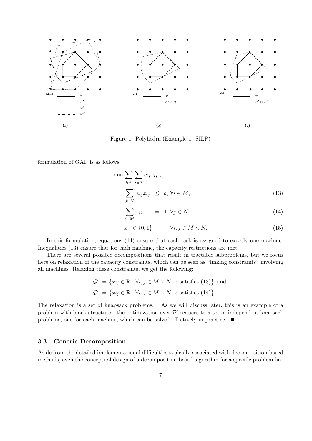

Figure 1: Polyhedra (Example 1: SILP)

formulation of GAP is as follows:

$$
\min \sum_{i \in M} \sum_{j \in N} c_{ij} x_{ij} ,
$$
\n
$$
\sum_{j \in N} w_{ij} x_{ij} \leq b_i \ \forall i \in M,
$$
\n(13)

$$
\sum_{i \in M} x_{ij} = 1 \ \forall j \in N,
$$
\n(14)

$$
x_{ij} \in \{0, 1\} \qquad \forall i, j \in M \times N. \tag{15}
$$

In this formulation, equations  $(14)$  ensure that each task is assigned to exactly one machine. Inequalities (13) ensure that for each machine, the capacity restrictions are met.

There are several possible decompositions that result in tractable subproblems, but we focus here on relaxation of the capacity constraints, which can be seen as "linking constraints" involving all machines. Relaxing these constraints, we get the following:

$$
Q' = \{x_{ij} \in \mathbb{R}^+ \,\forall i, j \in M \times N | x \text{ satisfies (13)}\} \text{ and}
$$
  

$$
Q'' = \{x_{ij} \in \mathbb{R}^+ \,\forall i, j \in M \times N | x \text{ satisfies (14)}\}.
$$

The relaxation is a set of knapsack problems. As we will discuss later, this is an example of a problem with block structure—the optimization over  $\mathcal{P}'$  reduces to a set of independent knapsack problems, one for each machine, which can be solved effectively in practice.

#### 3.3 Generic Decomposition

Aside from the detailed implementational difficulties typically associated with decomposition-based methods, even the conceptual design of a decomposition-based algorithm for a specific problem has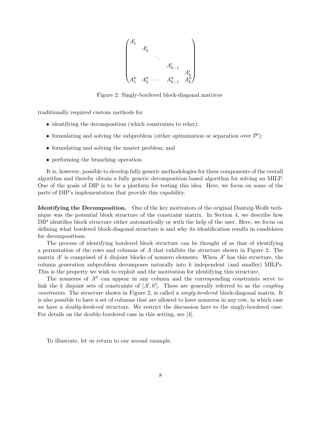

Figure 2: Singly-bordered block-diagonal matrices

traditionally required custom methods for

- identifying the decomposition (which constraints to relax);
- formulating and solving the subproblem (either optimization or separation over  $\mathcal{P}'$ );
- formulating and solving the master problem; and
- performing the branching operation.

It is, however, possible to develop fully generic methodologies for these components of the overall algorithm and thereby obtain a fully generic decomposition-based algorithm for solving an MILP. One of the goals of DIP is to be a platform for testing this idea. Here, we focus on some of the parts of DIP's implementation that provide this capability.

Identifying the Decomposition. One of the key motivators of the original Dantzig-Wolfe technique was the potential block structure of the constraint matrix. In Section 4, we describe how DIP identifies block structure either automatically or with the help of the user. Here, we focus on defining what bordered block-diagonal structure is and why its identification results in candidates for decompositions.

The process of identifying bordered block structure can be thought of as that of identifying a permutation of the rows and columns of A that exhibits the structure shown in Figure 2. The matrix  $A'$  is comprised of k disjoint blocks of nonzero elements. When  $A'$  has this structure, the column generation subproblem decomposes naturally into k independent (and smaller) MILPs. This is the property we wish to exploit and the motivation for identifying this structure.

The nonzeros of  $A''$  can appear in any column and the corresponding constraints serve to link the k disjoint sets of constraints of  $[A', b']$ . These are generally referred to as the *coupling* constraints. The structure shown in Figure 2, is called a singly-bordered block-diagonal matrix. It is also possible to have a set of columns that are allowed to have nonzeros in any row, in which case we have a doubly-bordered structure. We restrict the discussion here to the singly-bordered case. For details on the doubly-bordered case in this setting, see [4].

To illustrate, let us return to our second example.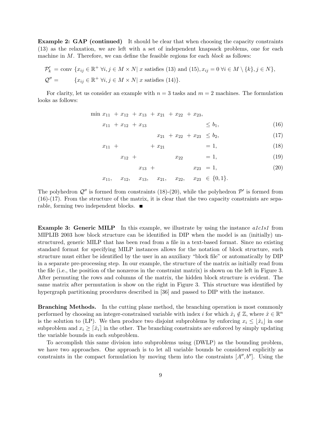Example 2: GAP (continued) It should be clear that when choosing the capacity constraints (13) as the relaxation, we are left with a set of independent knapsack problems, one for each machine in  $M$ . Therefore, we can define the feasible regions for each *block* as follows:

$$
\mathcal{P}'_k = \text{conv } \{ x_{ij} \in \mathbb{R}^+ \; \forall i, j \in M \times N \vert \; x \text{ satisfies (13) and (15)}, x_{ij} = 0 \; \forall i \in M \setminus \{k\}, j \in N \},
$$
  

$$
\mathcal{Q}'' = \{ x_{ij} \in \mathbb{R}^+ \; \forall i, j \in M \times N \vert \; x \text{ satisfies (14)} \}.
$$

For clarity, let us consider an example with  $n = 3$  tasks and  $m = 2$  machines. The formulation looks as follows:

- min  $x_{11} + x_{12} + x_{13} + x_{21} + x_{22} + x_{23}$ 
	- $x_{11} + x_{12} + x_{13} \leq b_1,$  (16)
		- $x_{21} + x_{22} + x_{23} \leq b_2,$  (17)
	- $x_{11} + x_{21} = 1,$  (18)
		- $x_{12} + x_{22} = 1,$  (19)
			- $x_{13} + x_{23} = 1,$  (20)
	- $x_{11}$ ,  $x_{12}$ ,  $x_{13}$ ,  $x_{21}$ ,  $x_{22}$ ,  $x_{23} \in \{0, 1\}.$

The polyhedron  $\mathcal{Q}''$  is formed from constraints (18)-(20), while the polyhedron  $\mathcal{P}'$  is formed from (16)-(17). From the structure of the matrix, it is clear that the two capacity constraints are separable, forming two independent blocks.

**Example 3: Generic MILP** In this example, we illustrate by using the instance  $\alpha 1c1s1$  from MIPLIB 2003 how block structure can be identified in DIP when the model is an (initially) unstructured, generic MILP that has been read from a file in a text-based format. Since no existing standard format for specifying MILP instances allows for the notation of block structure, such structure must either be identified by the user in an auxiliary "block file" or automatically by DIP in a separate pre-processing step. In our example, the structure of the matrix as initially read from the file (i.e., the position of the nonzeros in the constraint matrix) is shown on the left in Figure 3. After permuting the rows and columns of the matrix, the hidden block structure is evident. The same matrix after permutation is show on the right in Figure 3. This structure was identified by hypergraph partitioning procedures described in [36] and passed to DIP with the instance.

Branching Methods. In the cutting plane method, the branching operation is most commonly performed by choosing an integer-constrained variable with index i for which  $\hat{x}_i \notin \mathbb{Z}$ , where  $\hat{x} \in \mathbb{R}^n$ is the solution to (LP). We then produce two disjoint subproblems by enforcing  $x_i \leq |\hat{x}_i|$  in one subproblem and  $x_i \geq \lceil \hat{x}_i \rceil$  in the other. The branching constraints are enforced by simply updating the variable bounds in each subproblem.

To accomplish this same division into subproblems using (DWLP) as the bounding problem, we have two approaches. One approach is to let all variable bounds be considered explicitly as constraints in the compact formulation by moving them into the constraints  $[A'', b'']$ . Using the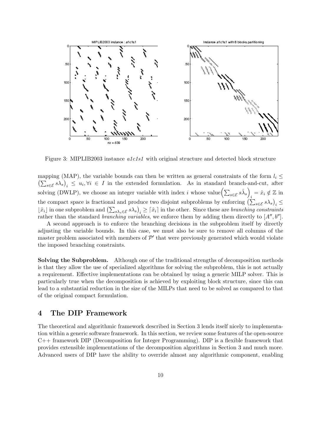

Figure 3: MIPLIB2003 instance alc1s1 with original structure and detected block structure

mapping (MAP), the variable bounds can then be written as general constraints of the form  $l_i$  $\left(\sum_{s\in\mathcal{E}}s\lambda_s\right)_i\leq u_i,\forall i\in I$  in the extended formulation. As in standard branch-and-cut, after solving (DWLP), we choose an integer variable with index i whose value $\left(\sum_{s\in\mathcal{E}}s\hat{\lambda}_s\right)$  $i = \hat{x}_i \notin \mathbb{Z}$  in the compact space is fractional and produce two disjoint subproblems by enforcing  $\left(\sum_{s\in\mathcal{E}}s\lambda_s\right)_i\leq$  $\lfloor \hat{x}_i \rfloor$  in one subproblem and  $\left( \sum_{s \lambda_s \in \mathcal{E}} s \lambda_s \right)_i \geq \lceil \hat{x}_i \rceil$  in the other. Since these are branching constraints rather than the standard *branching variables*, we enforce them by adding them directly to  $[A'', b'']$ .

A second approach is to enforce the branching decisions in the subproblem itself by directly adjusting the variable bounds. In this case, we must also be sure to remove all columns of the master problem associated with members of  $\mathcal{P}'$  that were previously generated which would violate the imposed branching constraints.

Solving the Subproblem. Although one of the traditional strengths of decomposition methods is that they allow the use of specialized algorithms for solving the subproblem, this is not actually a requirement. Effective implementations can be obtained by using a generic MILP solver. This is particularly true when the decomposition is achieved by exploiting block structure, since this can lead to a substantial reduction in the size of the MILPs that need to be solved as compared to that of the original compact formulation.

#### 4 The DIP Framework

The theoretical and algorithmic framework described in Section 3 lends itself nicely to implementation within a generic software framework. In this section, we review some features of the open-source C++ framework DIP (Decomposition for Integer Programming). DIP is a flexible framework that provides extensible implementations of the decomposition algorithms in Section 3 and much more. Advanced users of DIP have the ability to override almost any algorithmic component, enabling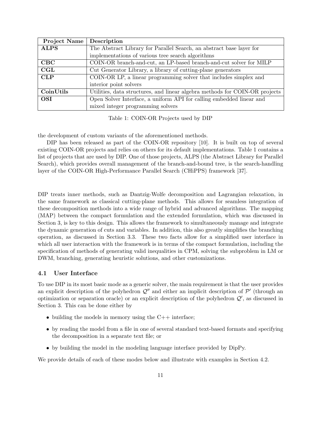| <b>Project Name</b> | Description                                                                 |
|---------------------|-----------------------------------------------------------------------------|
| <b>ALPS</b>         | The Abstract Library for Parallel Search, an abstract base layer for        |
|                     | implementations of various tree search algorithms                           |
| $_{\rm CBC}$        | COIN-OR branch-and-cut, an LP-based branch-and-cut solver for MILP          |
| CGL                 | Cut Generator Library, a library of cutting-plane generators                |
| CLP                 | COIN-OR LP, a linear programming solver that includes simplex and           |
|                     | interior point solvers                                                      |
| CoinUtils           | Utilities, data structures, and linear algebra methods for COIN-OR projects |
| <b>OSI</b>          | Open Solver Interface, a uniform API for calling embedded linear and        |
|                     | mixed integer programming solvers                                           |

Table 1: COIN-OR Projects used by DIP

the development of custom variants of the aforementioned methods.

DIP has been released as part of the COIN-OR repository [10]. It is built on top of several existing COIN-OR projects and relies on others for its default implementations. Table 1 contains a list of projects that are used by DIP. One of those projects, ALPS (the Abstract Library for Parallel Search), which provides overall management of the branch-and-bound tree, is the search-handling layer of the COIN-OR High-Performance Parallel Search (CHiPPS) framework [37].

DIP treats inner methods, such as Dantzig-Wolfe decomposition and Lagrangian relaxation, in the same framework as classical cutting-plane methods. This allows for seamless integration of these decomposition methods into a wide range of hybrid and advanced algorithms. The mapping (MAP) between the compact formulation and the extended formulation, which was discussed in Section 3, is key to this design. This allows the framework to simultaneously manage and integrate the dynamic generation of cuts and variables. In addition, this also greatly simplifies the branching operation, as discussed in Section 3.3. These two facts allow for a simplified user interface in which all user interaction with the framework is in terms of the compact formulation, including the specification of methods of generating valid inequalities in CPM, solving the subproblem in LM or DWM, branching, generating heuristic solutions, and other customizations.

#### 4.1 User Interface

To use DIP in its most basic mode as a generic solver, the main requirement is that the user provides an explicit description of the polyhedron  $\mathcal{Q}''$  and either an implicit description of  $\mathcal{P}'$  (through an optimization or separation oracle) or an explicit description of the polyhedron  $\mathcal{Q}'$ , as discussed in Section 3. This can be done either by

- building the models in memory using the  $C++$  interface;
- by reading the model from a file in one of several standard text-based formats and specifying the decomposition in a separate text file; or
- by building the model in the modeling language interface provided by DipPy.

We provide details of each of these modes below and illustrate with examples in Section 4.2.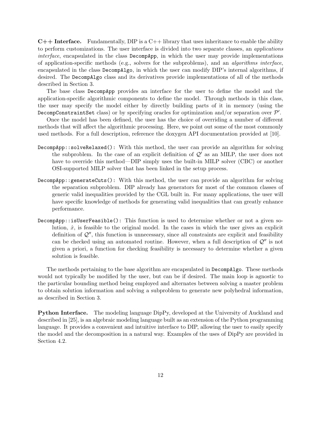$C++$  Interface. Fundamentally, DIP is a  $C++$  library that uses inheritance to enable the ability to perform customizations. The user interface is divided into two separate classes, an applications interface, encapsulated in the class DecompApp, in which the user may provide implementations of application-specific methods (e.g., solvers for the subproblems), and an algorithms interface, encapsulated in the class DecompAlgo, in which the user can modify DIP's internal algorithms, if desired. The DecompAlgo class and its derivatives provide implementations of all of the methods described in Section 3.

The base class DecompApp provides an interface for the user to define the model and the application-specific algorithmic components to define the model. Through methods in this class, the user may specify the model either by directly building parts of it in memory (using the DecompConstraintSet class) or by specifying oracles for optimization and/or separation over  $\mathcal{P}'.$ 

Once the model has been defined, the user has the choice of overriding a number of different methods that will affect the algorithmic processing. Here, we point out some of the most commonly used methods. For a full description, reference the doxygen API documentation provided at [10].

- DecompApp::solveRelaxed(): With this method, the user can provide an algorithm for solving the subproblem. In the case of an explicit definition of  $\mathcal{Q}'$  as an MILP, the user does not have to override this method—DIP simply uses the built-in MILP solver (CBC) or another OSI-supported MILP solver that has been linked in the setup process.
- DecompApp::generateCuts(): With this method, the user can provide an algorithm for solving the separation subproblem. DIP already has generators for most of the common classes of generic valid inequalities provided by the CGL built in. For many applications, the user will have specific knowledge of methods for generating valid inequalities that can greatly enhance performance.
- DecompApp::isUserFeasible(): This function is used to determine whether or not a given solution,  $\hat{x}$ , is feasible to the original model. In the cases in which the user gives an explicit definition of  $\mathcal{Q}''$ , this function is unnecessary, since all constraints are explicit and feasibility can be checked using an automated routine. However, when a full description of  $\mathcal{Q}''$  is not given a priori, a function for checking feasibility is necessary to determine whether a given solution is feasible.

The methods pertaining to the base algorithm are encapsulated in DecompAlgo. These methods would not typically be modified by the user, but can be if desired. The main loop is agnostic to the particular bounding method being employed and alternates between solving a master problem to obtain solution information and solving a subproblem to generate new polyhedral information, as described in Section 3.

Python Interface. The modeling language DipPy, developed at the University of Auckland and described in [25], is an algebraic modeling language built as an extension of the Python programming language. It provides a convenient and intuitive interface to DIP, allowing the user to easily specify the model and the decomposition in a natural way. Examples of the uses of DipPy are provided in Section 4.2.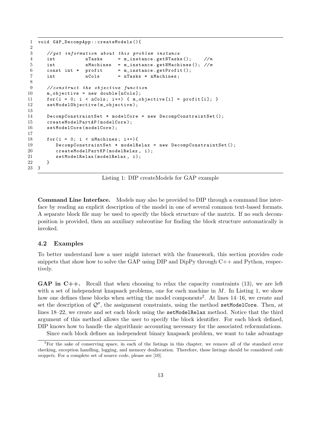```
1 void GAP_DecompApp :: createModels (){
2
3 // get information about this problem instance
4 int nTasks = m_instance.getNTasks (); //n5 int nMachines = m_instance . getNMachines (); // m
6 const int * profit = m_instance.getProfit();
7 int nCols = nTasks * nMachines;
8
9 // construct the objective function
10 m_objective = new double [nCols];
11 for (i = 0; i < nCols; i++) { m\_objective[i] = profit[i]; }
12 setModelObjective (m_objective);
13
14 DecompConstraintSet * modelCore = new DecompConstraintSet ();
15 createModelPartAP (modelCore);
16 setModelCore (modelCore);
17
18 for (i = 0; i < nMachines; i++){
19 DecompConstraintSet * modelRelax = new DecompConstraintSet ();
20 createModelPartKP (modelRelax, i);
21 setModelRelax (modelRelax, i);
22 }
23 }
```
Listing 1: DIP createModels for GAP example

Command Line Interface. Models may also be provided to DIP through a command line interface by reading an explicit description of the model in one of several common text-based formats. A separate block file may be used to specify the block structure of the matrix. If no such decomposition is provided, then an auxiliary subroutine for finding the block structure automatically is invoked.

#### 4.2 Examples

To better understand how a user might interact with the framework, this section provides code snippets that show how to solve the GAP using DIP and DipPy through  $C++$  and Python, respectively.

**GAP** in  $C++$ . Recall that when choosing to relax the capacity constraints (13), we are left with a set of independent knapsack problems, one for each machine in  $M$ . In Listing 1, we show how one defines these blocks when setting the model components<sup>2</sup>. At lines 14–16, we create and set the description of  $Q''$ , the assignment constraints, using the method setModelCore. Then, at lines 18–22, we create and set each block using the setModelRelax method. Notice that the third argument of this method allows the user to specify the block identifier. For each block defined, DIP knows how to handle the algorithmic accounting necessary for the associated reformulations.

Since each block defines an independent binary knapsack problem, we want to take advantage

 ${}^{2}$ For the sake of conserving space, in each of the listings in this chapter, we remove all of the standard error checking, exception handling, logging, and memory deallocation. Therefore, these listings should be considered code snippets. For a complete set of source code, please see [10].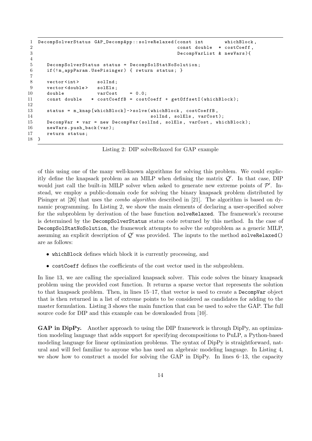```
1 DecompSolverStatus GAP_DecompApp :: solveRelaxed ( const int whichBlock ,
2 const double * costCoeff ,
3 DecompVarList & newVars ){
4
5 DecompSolverStatus status = DecompSolStatNoSolution ;
6 if (! m_appParam . UsePisinger ) { return status ; }
7
8 vector <int> solInd;
9 vector < double> solEls;
10 double varCost = 0.0;
11 const double * costCoeffB = costCoeff + getOffsetI(whichBlock);
12
13 status = m_knap [ whichBlock ] - > solve ( whichBlock , costCoeffB ,
14 sollar sollar sollar sollar sollar sollar sollar sollar sollar sollar sollar sollar sollar sollar sollar sollar sollar sollar sollar sollar sollar sollar sollar sollar sollar sollar sollar sollar sollar sollar sollar s
15 DecompVar * var = new DecompVar (solInd, solEls, varCost, whichBlock);
16 newVars.push_back(var);
17 return status ;
18 }
```
Listing 2: DIP solveRelaxed for GAP example

of this using one of the many well-known algorithms for solving this problem. We could explicitly define the knapsack problem as an MILP when defining the matrix  $Q'$ . In that case, DIP would just call the built-in MILP solver when asked to generate new extreme points of  $\mathcal{P}'$ . Instead, we employ a public-domain code for solving the binary knapsack problem distributed by Pisinger at [26] that uses the combo algorithm described in [21]. The algorithm is based on dynamic programming. In Listing 2, we show the main elements of declaring a user-specified solver for the subproblem by derivation of the base function solveRelaxed. The framework's recourse is determined by the DecompSolverStatus status code returned by this method. In the case of DecompSolStatNoSolution, the framework attempts to solve the subproblem as a generic MILP, assuming an explicit description of  $Q'$  was provided. The inputs to the method solveRelaxed() are as follows:

- whichBlock defines which block it is currently processing, and
- costCoeff defines the coefficients of the cost vector used in the subproblem.

In line 13, we are calling the specialized knapsack solver. This code solves the binary knapsack problem using the provided cost function. It returns a sparse vector that represents the solution to that knapsack problem. Then, in lines 15–17, that vector is used to create a DecompVar object that is then returned in a list of extreme points to be considered as candidates for adding to the master formulation. Listing 3 shows the main function that can be used to solve the GAP. The full source code for DIP and this example can be downloaded from [10].

GAP in DipPy. Another approach to using the DIP framework is through DipPy, an optimization modeling language that adds support for specifying decompositions to PuLP, a Python-based modeling language for linear optimization problems. The syntax of DipPy is straightforward, natural and will feel familiar to anyone who has used an algebraic modeling language. In Listing 4, we show how to construct a model for solving the GAP in DipPy. In lines 6–13, the capacity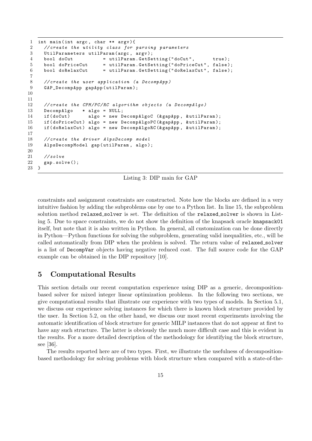```
1 int main (int argc, char ** argv) {
2 // create the utility class for parsing parameters
3 UtilParameters utilParam (argc, argv);
4 bool doCut = utilParam . GetSetting ("doCut", true);
5 bool doPriceCut = utilParam.GetSetting ("doPriceCut", false);
6 bool doRelaxCut = utilParam. GetSetting ("doRelaxCut", false);
7
8 // create the user application (a DecompApp)
9 GAP_DecompApp gapApp ( utilParam );
10
11
12 // create the CPM/PC/RC algorithm objects (a DecompAlgo)
13 DecompAlgo * algo = NULL ;
14 if (doCut) algo = new DecompAlgoC (& gapApp, & utilParam);
15 if ( doPriceCut ) algo = new DecompAlgoPC (& gapApp , & utilParam );
16 if ( doRelaxCut ) algo = new DecompAlgoRC (& gapApp , & utilParam );
17
18 // create the driver AlpsDecomp model
19 AlpsDecompModel gap ( utilParam , algo );
20
21 \frac{\sqrt{3}}{2}22 gap.solve();
23 }
```
Listing 3: DIP main for GAP

constraints and assignment constraints are constructed. Note how the blocks are defined in a very intuitive fashion by adding the subproblems one by one to a Python list. In line 15, the subproblem solution method relaxed solver is set. The definition of the relaxed solver is shown in Listing 5. Due to space constraints, we do not show the definition of the knapsack oracle knapsack01 itself, but note that it is also written in Python. In general, all customization can be done directly in Python—Python functions for solving the subproblem, generating valid inequalities, etc., will be called automatically from DIP when the problem is solved. The return value of relaxed solver is a list of DecompVar objects having negative reduced cost. The full source code for the GAP example can be obtained in the DIP repository [10].

# 5 Computational Results

This section details our recent computation experience using DIP as a generic, decompositionbased solver for mixed integer linear optimization problems. In the following two sections, we give computational results that illustrate our experience with two types of models. In Section 5.1, we discuss our experience solving instances for which there is known block structure provided by the user. In Section 5.2, on the other hand, we discuss our most recent experiments involving the automatic identification of block structure for generic MILP instances that do not appear at first to have any such structure. The latter is obviously the much more difficult case and this is evident in the results. For a more detailed description of the methodology for identifying the block structure, see [36].

The results reported here are of two types. First, we illustrate the usefulness of decompositionbased methodology for solving problems with block structure when compared with a state-of-the-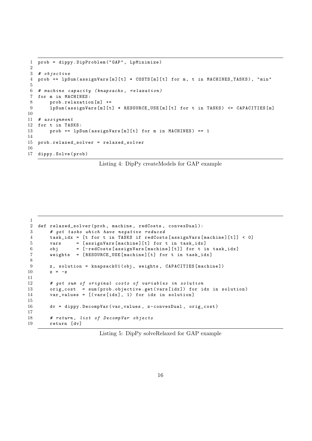```
1 prob = dippy . DipProblem ( " GAP " , LpMinimize )
\overline{2}3 # objective
4 prob += lpSum(assignVars[m][t] * COSTS[m][t] for m, t in MACHINES_TASKS), "min"
5
6 # machine capacity ( knapsacks , relaxation )
7 for m in MACHINES :
8 prob.relaxation [m] +=
9 lpSum (assignVars [m][t] * RESOURCE_USE [m][t] for t in TASKS) <= CAPACITIES [m]
10
11 # assignment
12 for t in TASKS :
13 prob += 1pSum(assignVars[m][t] for m in MACHINES) == 114
15 prob . relaxed_solver = relaxed_solver
16
17 dippy . Solve ( prob )
```
Listing 4: DipPy createModels for GAP example

```
1
2 def relaxed_solver (prob, machine, redCosts, convexDual):
3 # get tasks which have negative reduced
4 task_idx = [ t for t in TASKS if redCosts [ assignVars [ machine ][ t ]] < 0]
5 vars = [ assignVars [ machine ][ t] for t in task_idx ]
6 obj = [-redCosts [assignVars [machine] [t]] for t in task_idx]7 weights = [ RESOURCE_USE [ machine ][ t] for t in task_idx ]
8
9 z, solution = knapsack01(obj, weights, CAPACITIES [machine])
10 z = -z11
12 # get sum of original costs of variables in solution
13 orig_cost = sum ( prob . objective . get ( vars [ idx ]) for idx in solution )
14 var_values = [(vars[idx], 1) for idx in solution]
15
16 dv = dippy . DecompVar ( var_values , z - convexDual , orig_cost )
17
18 # return, list of DecompVar objects
19 return [dv]
```
Listing 5: DipPy solveRelaxed for GAP example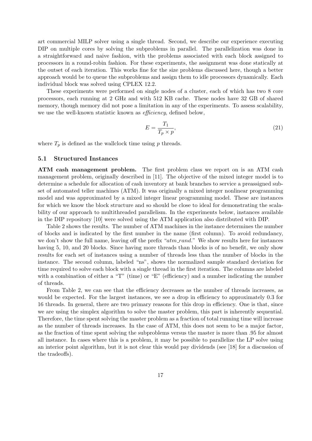art commercial MILP solver using a single thread. Second, we describe our experience executing DIP on multiple cores by solving the subproblems in parallel. The parallelization was done in a straightforward and naive fashion, with the problems associated with each block assigned to processors in a round-robin fashion. For these experiments, the assignment was done statically at the outset of each iteration. This works fine for the size problems discussed here, though a better approach would be to queue the subproblems and assign them to idle processors dynamically. Each individual block was solved using CPLEX 12.2.

These experiments were performed on single nodes of a cluster, each of which has two 8 core processors, each running at 2 GHz and with 512 KB cache. These nodes have 32 GB of shared memory, though memory did not pose a limitation in any of the experiments. To assess scalability, we use the well-known statistic known as *efficiency*, defined below,

$$
E = \frac{T_1}{T_p \times p},\tag{21}
$$

where  $T_p$  is defined as the wallclock time using p threads.

#### 5.1 Structured Instances

ATM cash management problem. The first problem class we report on is an ATM cash management problem, originally described in [11]. The objective of the mixed integer model is to determine a schedule for allocation of cash inventory at bank branches to service a preassigned subset of automated teller machines (ATM). It was originally a mixed integer nonlinear programming model and was approximated by a mixed integer linear programming model. These are instances for which we know the block structure and so should be close to ideal for demonstrating the scalability of our approach to multithreaded parallelism. In the experiments below, instances available in the DIP repository [10] were solved using the ATM application also distributed with DIP.

Table 2 shows the results. The number of ATM machines in the instance determines the number of blocks and is indicated by the first number in the name (first column). To avoid redundancy, we don't show the full name, leaving off the prefix " $atm\_rand$ ." We show results here for instances having 5, 10, and 20 blocks. Since having more threads than blocks is of no benefit, we only show results for each set of instances using a number of threads less than the number of blocks in the instance. The second column, labeled "ns", shows the normalized sample standard deviation for time required to solve each block with a single thread in the first iteration. The columns are labeled with a combination of either a "T" (time) or "E" (efficiency) and a number indicating the number of threads.

From Table 2, we can see that the efficiency decreases as the number of threads increases, as would be expected. For the largest instances, we see a drop in efficiency to approximately 0.3 for 16 threads. In general, there are two primary reasons for this drop in efficiency. One is that, since we are using the simplex algorithm to solve the master problem, this part is inherently sequential. Therefore, the time spent solving the master problem as a fraction of total running time will increase as the number of threads increases. In the case of ATM, this does not seem to be a major factor, as the fraction of time spent solving the subproblems versus the master is more than .95 for almost all instance. In cases where this is a problem, it may be possible to parallelize the LP solve using an interior point algorithm, but it is not clear this would pay dividends (see [18] for a discussion of the tradeoffs).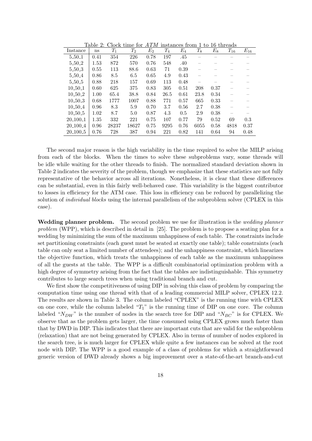|               | rabie z. |       | Слоск ише юг       | A I IVI |                    | піздансе пошл | - UO    | TO.   | ынеааs   |          |
|---------------|----------|-------|--------------------|---------|--------------------|---------------|---------|-------|----------|----------|
| Instance      | ns       | $T_1$ | $\scriptstyle T_2$ | $E_2$   | $\scriptstyle T_4$ | $E_4$         | $T_{8}$ | $E_8$ | $T_{16}$ | $E_{16}$ |
| 5.50.1        | 0.41     | 354   | 226                | 0.78    | 197                | .45           |         |       |          |          |
| 5.50.2        | 1.53     | 872   | 570                | 0.76    | 548                | .40           |         |       |          |          |
| 5.50.3        | 0.55     | 113   | 88.6               | 0.63    | 71                 | 0.39          |         |       |          |          |
| 5.50.4        | 0.86     | 8.5   | 6.5                | 0.65    | 4.9                | 0.43          |         |       |          |          |
| 5.50.5        | 0.88     | 218   | 157                | 0.69    | 113                | 0.48          |         |       |          |          |
| $10-50-1$     | 0.60     | 625   | 375                | 0.83    | 305                | 0.51          | 208     | 0.37  |          |          |
| $10-50-2$     | 1.00     | 65.4  | 38.8               | 0.84    | 26.5               | 0.61          | 23.8    | 0.34  |          |          |
| $10 - 50 - 3$ | 0.68     | 1777  | 1007               | 0.88    | 771                | 0.57          | 665     | 0.33  |          |          |
| $10-50-4$     | 0.96     | 8.3   | 5.9                | 0.70    | 3.7                | 0.56          | 2.7     | 0.38  |          |          |
| $10 - 50 - 5$ | 1.02     | 8.7   | 5.0                | 0.87    | 4.3                | 0.5           | 2.9     | 0.38  |          |          |
| 20.100.1      | 1.35     | 332   | 221                | 0.75    | 107                | 0.77          | 79      | 0.52  | 69       | 0.3      |
| 20.100.4      | 0.96     | 28237 | 18627              | 0.75    | 9295               | 0.76          | 6055    | 0.58  | 4818     | 0.37     |
| 20.100.5      | 0.76     | 728   | 387                | 0.94    | 221                | 0.82          | 141     | 0.64  | 94       | 0.48     |

Table 2: Clock time for  $ATM$  instances from 1 to 16 thr

The second major reason is the high variability in the time required to solve the MILP arising from each of the blocks. When the times to solve these subproblems vary, some threads will be idle while waiting for the other threads to finish. The normalized standard deviation shown in Table 2 indicates the severity of the problem, though we emphasize that these statistics are not fully representative of the behavior across all iterations. Nonetheless, it is clear that these differences can be substantial, even in this fairly well-behaved case. This variability is the biggest contributor to losses in efficiency for the ATM case. This loss in efficiency can be reduced by parallelizing the solution of *individual blocks* using the internal parallelism of the subproblem solver (CPLEX in this case).

Wedding planner problem. The second problem we use for illustration is the *wedding planner* problem (WPP), which is described in detail in [25]. The problem is to propose a seating plan for a wedding by minimizing the sum of the maximum unhappiness of each table. The constraints include set partitioning constraints (each guest must be seated at exactly one table); table constraints (each table can only seat a limited number of attendees); and the unhappiness constraint, which linearizes the objective function, which treats the unhappiness of each table as the maximum unhappiness of all the guests at the table. The WPP is a difficult combinatorial optimization problem with a high degree of symmetry arising from the fact that the tables are indistinguishable. This symmetry contributes to large search trees when using traditional branch and cut.

We first show the competitiveness of using DIP in solving this class of problem by comparing the computation time using one thread with that of a leading commercial MILP solver, CPLEX 12.2. The results are shown in Table 3. The column labeled "CPLEX" is the running time with CPLEX on one core, while the column labeled " $T_1$ " is the running time of DIP on one core. The column labeled " $N_{DW}$ " is the number of nodes in the search tree for DIP and " $N_{BC}$ " is for CPLEX. We observe that as the problem gets larger, the time consumed using CPLEX grows much faster than that by DWD in DIP. This indicates that there are important cuts that are valid for the subproblem (relaxation) that are not being generated by CPLEX. Also in terms of number of nodes explored in the search tree, is is much larger for CPLEX while quite a few instances can be solved at the root node with DIP. The WPP is a good example of a class of problems for which a straightforward generic version of DWD already shows a big improvement over a state-of-the-art branch-and-cut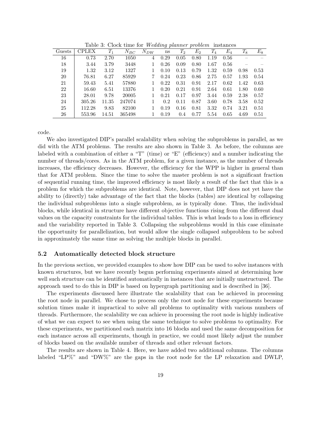| rapic of Clock throw for <i>H</i> cauguy pragued provisite instances |              |       |          |          |      |       |       |                    |       |       |       |
|----------------------------------------------------------------------|--------------|-------|----------|----------|------|-------|-------|--------------------|-------|-------|-------|
| Guests                                                               | <b>CPLEX</b> | $T_1$ | $N_{BC}$ | $N_{DW}$ | ns   | $T_2$ | $E_2$ | $\scriptstyle T_4$ | $E_4$ | $T_8$ | $E_8$ |
| 16                                                                   | 0.73         | 2.70  | 1050     | 4        | 0.29 | 0.05  | 0.80  | 1.19               | 0.56  |       |       |
| 18                                                                   | 3.44         | 3.79  | 3448     |          | 0.26 | 0.09  | 0.80  | 1.67               | 0.56  |       |       |
| 19                                                                   | 1.32         | 3.12  | 1327     |          | 0.10 | 0.13  | 0.79  | 1.32               | 0.59  | 0.98  | 0.53  |
| 20                                                                   | 76.81        | 6.27  | 85929    |          | 0.24 | 0.23  | 0.86  | 2.75               | 0.57  | 1.93  | 0.54  |
| 21                                                                   | 59.43        | 5.41  | 57880    |          | 0.22 | 0.31  | 0.91  | 2.17               | 0.62  | 1.42  | 0.63  |
| 22                                                                   | 16.60        | 6.51  | 13376    |          | 0.20 | 0.21  | 0.91  | 2.64               | 0.61  | 1.80  | 0.60  |
| 23                                                                   | 28.01        | 9.78  | 20005    |          | 0.21 | 0.17  | 0.97  | 3.44               | 0.59  | 2.38  | 0.57  |
| 24                                                                   | 305.26       | 11.35 | 247074   |          | 0.2  | 0.11  | 0.87  | 3.60               | 0.78  | 3.58  | 0.52  |
| 25                                                                   | 112.28       | 9.83  | 82100    |          | 0.19 | 0.16  | 0.81  | 3.32               | 0.74  | 3.21  | 0.51  |
| 26                                                                   | 553.96       | 14.51 | 365498   |          | 0.19 | 0.4   | 0.77  | 5.54               | 0.65  | 4.69  | 0.51  |

Table 3: Clock time for Wedding planner problem instances

code.

We also investigated DIP's parallel scalability when solving the subproblems in parallel, as we did with the ATM problems. The results are also shown in Table 3. As before, the columns are labeled with a combination of either a "T" (time) or "E" (efficiency) and a number indicating the number of threads/cores. As in the ATM problem, for a given instance, as the number of threads increases, the efficiency decreases. However, the efficiency for the WPP is higher in general than that for ATM problem. Since the time to solve the master problem is not a significant fraction of sequential running time, the improved efficiency is most likely a result of the fact that this is a problem for which the subproblems are identical. Note, however, that DIP does not yet have the ability to (directly) take advantage of the fact that the blocks (tables) are identical by collapsing the individual subproblems into a single subproblem, as is typically done. Thus, the individual blocks, while identical in structure have different objective functions rising from the different dual values on the capacity constraints for the individual tables. This is what leads to a loss in efficiency and the variability reported in Table 3. Collapsing the subproblems would in this case eliminate the opportunity for parallelization, but would allow the single collapsed subproblem to be solved in approximately the same time as solving the multiple blocks in parallel.

#### 5.2 Automatically detected block structure

In the previous section, we provided examples to show how DIP can be used to solve instances with known structures, but we have recently begun performing experiments aimed at determining how well such structure can be identified automatically in instances that are initially unstructured. The approach used to do this in DIP is based on hypergraph partitioning and is described in [36].

The experiments discussed here illustrate the scalability that can be achieved in processing the root node in parallel. We chose to process only the root node for these experiments because solution times make it impractical to solve all problems to optimality with various numbers of threads. Furthermore, the scalability we can achieve in processing the root node is highly indicative of what we can expect to see when using the same technique to solve problems to optimality. For these experiments, we partitioned each matrix into 16 blocks and used the same decomposition for each instance across all experiments, though in practice, we could most likely adjust the number of blocks based on the available number of threads and other relevant factors.

The results are shown in Table 4. Here, we have added two additional columns. The columns labeled "LP%" and "DW%" are the gaps in the root node for the LP relaxation and DWLP,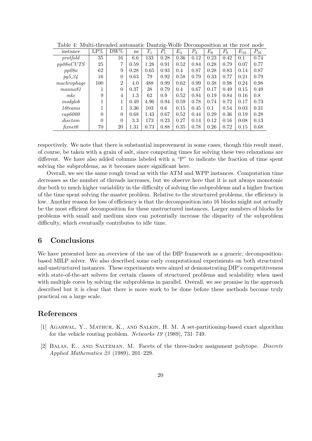| instance           | $LP\%$   | $DW\%$           | ns   | $T_1$ | $P_1$ | $E_4$ | $P_4$ | $E_8$ | $P_8$ | $E_{16}$ | $P_{16}$ |
|--------------------|----------|------------------|------|-------|-------|-------|-------|-------|-------|----------|----------|
| protfold           | 35       | 16               | 6.6  | 133   | 0.28  | 0.36  | 0.12  | 0.23  | 0.42  | 0.1      | 0.74     |
| pp08aCUTS          | 25       | 7                | 0.59 | 1.28  | 0.91  | 0.52  | 0.84  | 0.28  | 0.79  | 0.07     | 0.77     |
| pp08a              | 62       | 9                | 0.28 | 0.65  | 0.93  | 0.4   | 0.87  | 0.28  | 0.83  | 0.14     | 0.87     |
| $pg5_{-}34$        | 16       | $\theta$         | 0.63 | 79    | 0.92  | 0.58  | 0.79  | 0.33  | 0.77  | 0.21     | 0.79     |
| machrophage        | 100      | $\overline{2}$   | 4.0  | 488   | 0.99  | 0.62  | 0.99  | 0.38  | 0.98  | 0.24     | 0.98     |
| manna81            |          | $\boldsymbol{0}$ | 0.37 | 38    | 0.79  | 0.4   | 0.67  | 0.17  | 0.49  | 0.15     | 0.49     |
| mkc                | 9        | $\overline{4}$   | 1.3  | 62    | 0.9   | 0.52  | 0.84  | 0.19  | 0.84  | 0.16     | 0.8      |
| modglob            |          | 1                | 0.49 | 4.96  | 0.94  | 0.59  | 0.78  | 0.74  | 0.72  | 0.17     | 0.73     |
| $10$ teams         |          | 1                | 3.36 | 103   | 0.6   | 0.15  | 0.45  | 0.1   | 0.54  | 0.03     | 0.31     |
| cap6000            | $\Omega$ | $\theta$         | 0.68 | 1.43  | 0.67  | 0.52  | 0.44  | 0.29  | 0.36  | 0.19     | 0.28     |
| <i>disctom</i>     | $\Omega$ | $\theta$         | 3.3  | 173   | 0.23  | 0.27  | 0.14  | 0.12  | 0.16  | 0.08     | 0.13     |
| $\mathit{fixnet6}$ | 70       | 20               | 1.31 | 0.73  | 0.88  | 0.35  | 0.78  | 0.26  | 0.72  | 0.15     | 0.68     |

Table 4: Multi-threaded automatic Dantzig-Wolfe Decomposition at the root node

respectively. We note that there is substantial improvement in some cases, though this result must, of course, be taken with a grain of salt, since computing times for solving these two relaxations are different. We have also added columns labeled with a "P" to indicate the fraction of time spent solving the subproblems, as it becomes more significant here.

Overall, we see the same rough trend as with the ATM and WPP instances. Computation time decreases as the number of threads increases, but we observe here that it is not always monotonic due both to much higher variability in the difficulty of solving the subproblems and a higher fraction of the time spent solving the master problem. Relative to the structured problems, the efficiency is low. Another reason for loss of efficiency is that the decomposition into 16 blocks might not actually be the most efficient decomposition for these unstructured instances. Larger numbers of blocks for problems with small and medium sizes can potentially increase the disparity of the subproblem difficulty, which eventually contributes to idle time.

### 6 Conclusions

We have presented here an overview of the use of the DIP framework as a generic, decompositionbased MILP solver. We also described some early computational experiments on both structured and unstructured instances. These experiments were aimed at demonstrating DIP's competitiveness with state-of-the-art solvers for certain classes of structured problems and scalability when used with multiple cores by solving the subproblems in parallel. Overall, we see promise in the approach described but it is clear that there is more work to be done before these methods become truly practical on a large scale.

#### References

- [1] Agarwal, Y., Mathur, K., and Salkin, H. M. A set-partitioning-based exact algorithm for the vehicle routing problem. Networks 19 (1989), 731–749.
- [2] Balas, E., and Saltzman, M. Facets of the three-index assignment polytope. Discrete Applied Mathematics 23 (1989), 201–229.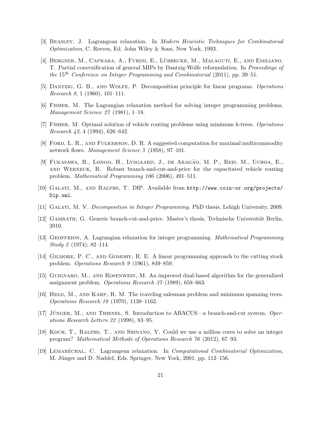- [3] Beasley, J. Lagrangean relaxation. In Modern Heuristic Techniques for Combinatorial Optimization, C. Reeves, Ed. John Wiley & Sons, New York, 1993.
- [4] BERGNER, M., CAPRARA, A., FURINI, E., LÜBBECKE, M., MALAGUTI, E., AND EMILIANO, T. Partial convexification of general MIPs by Dantzig-Wolfe reformulation. In Proceedings of the 15<sup>th</sup> Conference on Integer Programming and Combinatorial (2011), pp. 39–51.
- [5] Dantzig, G. B., and Wolfe, P. Decomposition principle for linear programs. Operations Research 8, 1 (1960), 101–111.
- [6] Fisher, M. The Lagrangian relaxation method for solving integer programming problems. Management Science 27 (1981), 1–18.
- [7] Fisher, M. Optimal solution of vehicle routing problems using minimum k-trees. Operations Research 42, 4 (1994), 626–642.
- [8] Ford, L. R., and Fulkerson, D. R. A suggested computation for maximal multicommodity network flows. Management Science 5 (1958), 97–101.
- [9] FUKASAWA, R., LONGO, H., LYSGAARD, J., DE ARAGÃO, M. P., REIS, M., UCHOA, E., and Werneck, R. Robust branch-and-cut-and-price for the capacitated vehicle routing problem. Mathematical Programming 106 (2006), 491–511.
- [10] Galati, M., and Ralphs, T. DIP. Available from http://www.coin-or.org/projects/ Dip.xml.
- [11] GALATI, M. V. Decomposition in Integer Programming. PhD thesis, Lehigh University, 2009.
- [12] GAMRATH, G. Generic branch-cut-and-price. Master's thesis, Technische Universität Berlin, 2010.
- [13] GEOFFRION, A. Lagrangian relaxation for integer programming. *Mathematical Programming* Study 2 (1974), 82–114.
- [14] GILMORE, P. C., AND GOMORY, R. E. A linear programming approach to the cutting stock problem. Operations Research 9 (1961), 849–859.
- [15] Guignard, M., and Rosenwein, M. An improved dual-based algorithm for the generalized assignment problem. Operations Research 37 (1989), 658–663.
- [16] HELD, M., AND KARP, R. M. The traveling salesman problem and minimum spanning trees. Operations Research 18 (1970), 1138–1162.
- [17] JÜNGER, M., AND THIENEL, S. Introduction to ABACUS—a branch-and-cut system. Operations Research Letters 22 (1998), 83–95.
- [18] Koch, T., Ralphs, T., and Shinano, Y. Could we use a million cores to solve an integer program? Mathematical Methods of Operations Research 76 (2012), 67–93.
- [19] LEMARÉCHAL, C. Lagrangean relaxation. In *Computational Combinatorial Optimization*, M. Jünger and D. Naddef, Eds. Springer, New York, 2001, pp. 112–156.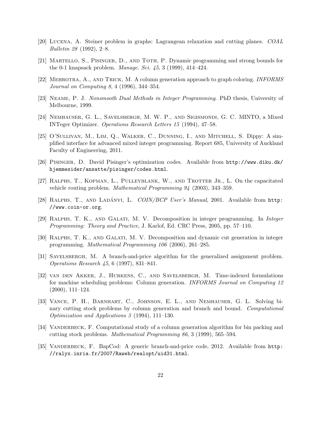- [20] Lucena, A. Steiner problem in graphs: Lagrangean relaxation and cutting planes. COAL Bulletin 28 (1992), 2–8.
- [21] Martello, S., Pisinger, D., and Toth, P. Dynamic programming and strong bounds for the 0-1 knapsack problem. Manage. Sci. 45, 3 (1999), 414–424.
- [22] Mehrotra, A., and Trick, M. A column generation approach to graph coloring. INFORMS Journal on Computing 8, 4 (1996), 344–354.
- [23] Neame, P. J. Nonsmooth Dual Methods in Integer Programming. PhD thesis, University of Melbourne, 1999.
- [24] Nemhauser, G. L., Savelsbergh, M. W. P., and Sigismondi, G. C. MINTO, a Mixed INTeger Optimizer. Operations Research Letters 15 (1994), 47–58.
- [25] O'Sullivan, M., Lim, Q., Walker, C., Dunning, I., and Mitchell, S. Dippy: A simplified interface for advanced mixed integer programming. Report 685, University of Auckland Faculty of Engineering, 2011.
- [26] Pisinger, D. David Pisinger's optimization codes. Available from http://www.diku.dk/ hjemmesider/ansatte/pisinger/codes.html.
- [27] RALPHS, T., KOPMAN, L., PULLEYBLANK, W., AND TROTTER JR., L. On the capacitated vehicle routing problem. Mathematical Programming 94 (2003), 343–359.
- [28] RALPHS, T., AND LADÁNYI, L.  $CON/BCP$  User's Manual, 2001. Available from http: //www.coin-or.org.
- [29] Ralphs, T. K., and Galati, M. V. Decomposition in integer programming. In Integer Programming: Theory and Practice, J. Karlof, Ed. CRC Press, 2005, pp. 57–110.
- [30] Ralphs, T. K., and Galati, M. V. Decomposition and dynamic cut generation in integer programming. Mathematical Programming 106 (2006), 261–285.
- [31] Savelsbergh, M. A branch-and-price algorithm for the generalized assignment problem. Operations Research 45, 6 (1997), 831–841.
- [32] van den Akker, J., Hurkens, C., and Savelsbergh, M. Time-indexed formulations for machine scheduling problems: Column generation. INFORMS Journal on Computing 12 (2000), 111–124.
- [33] Vance, P. H., Barnhart, C., Johnson, E. L., and Nemhauser, G. L. Solving binary cutting stock problems by column generation and branch and bound. Computational Optimization and Applications 3 (1994), 111–130.
- [34] VANDERBECK, F. Computational study of a column generation algorithm for bin packing and cutting stock problems. Mathematical Programming 86, 3 (1999), 565–594.
- [35] VANDERBECK, F. BapCod: A generic branch-and-price code, 2012. Available from http: //ralyx.inria.fr/2007/Raweb/realopt/uid31.html.